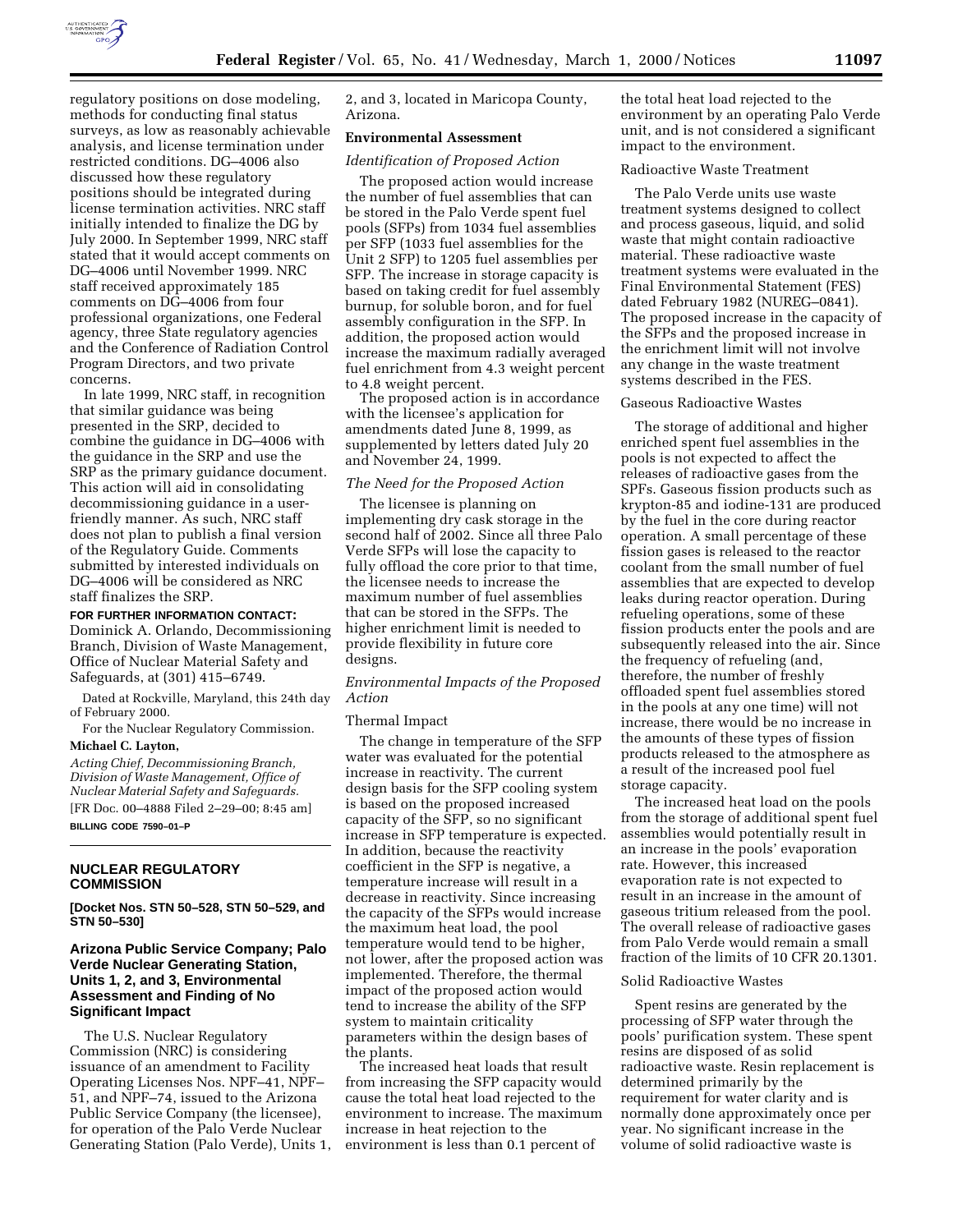

regulatory positions on dose modeling, methods for conducting final status surveys, as low as reasonably achievable analysis, and license termination under restricted conditions. DG–4006 also discussed how these regulatory positions should be integrated during license termination activities. NRC staff initially intended to finalize the DG by July 2000. In September 1999, NRC staff stated that it would accept comments on DG–4006 until November 1999. NRC staff received approximately 185 comments on DG–4006 from four professional organizations, one Federal agency, three State regulatory agencies and the Conference of Radiation Control Program Directors, and two private concerns.

In late 1999, NRC staff, in recognition that similar guidance was being presented in the SRP, decided to combine the guidance in DG–4006 with the guidance in the SRP and use the SRP as the primary guidance document. This action will aid in consolidating decommissioning guidance in a userfriendly manner. As such, NRC staff does not plan to publish a final version of the Regulatory Guide. Comments submitted by interested individuals on DG–4006 will be considered as NRC staff finalizes the SRP.

#### **FOR FURTHER INFORMATION CONTACT:**

Dominick A. Orlando, Decommissioning Branch, Division of Waste Management, Office of Nuclear Material Safety and Safeguards, at (301) 415–6749.

Dated at Rockville, Maryland, this 24th day of February 2000.

For the Nuclear Regulatory Commission. **Michael C. Layton,**

*Acting Chief, Decommissioning Branch, Division of Waste Management, Office of Nuclear Material Safety and Safeguards.* [FR Doc. 00–4888 Filed 2–29–00; 8:45 am]

**BILLING CODE 7590–01–P**

### **NUCLEAR REGULATORY COMMISSION**

**[Docket Nos. STN 50–528, STN 50–529, and STN 50–530]**

# **Arizona Public Service Company; Palo Verde Nuclear Generating Station, Units 1, 2, and 3, Environmental Assessment and Finding of No Significant Impact**

The U.S. Nuclear Regulatory Commission (NRC) is considering issuance of an amendment to Facility Operating Licenses Nos. NPF–41, NPF– 51, and NPF–74, issued to the Arizona Public Service Company (the licensee), for operation of the Palo Verde Nuclear Generating Station (Palo Verde), Units 1, 2, and 3, located in Maricopa County, Arizona.

# **Environmental Assessment**

# *Identification of Proposed Action*

The proposed action would increase the number of fuel assemblies that can be stored in the Palo Verde spent fuel pools (SFPs) from 1034 fuel assemblies per SFP (1033 fuel assemblies for the Unit 2 SFP) to 1205 fuel assemblies per SFP. The increase in storage capacity is based on taking credit for fuel assembly burnup, for soluble boron, and for fuel assembly configuration in the SFP. In addition, the proposed action would increase the maximum radially averaged fuel enrichment from 4.3 weight percent to 4.8 weight percent.

The proposed action is in accordance with the licensee's application for amendments dated June 8, 1999, as supplemented by letters dated July 20 and November 24, 1999.

#### *The Need for the Proposed Action*

The licensee is planning on implementing dry cask storage in the second half of 2002. Since all three Palo Verde SFPs will lose the capacity to fully offload the core prior to that time, the licensee needs to increase the maximum number of fuel assemblies that can be stored in the SFPs. The higher enrichment limit is needed to provide flexibility in future core designs.

*Environmental Impacts of the Proposed Action*

#### Thermal Impact

The change in temperature of the SFP water was evaluated for the potential increase in reactivity. The current design basis for the SFP cooling system is based on the proposed increased capacity of the SFP, so no significant increase in SFP temperature is expected. In addition, because the reactivity coefficient in the SFP is negative, a temperature increase will result in a decrease in reactivity. Since increasing the capacity of the SFPs would increase the maximum heat load, the pool temperature would tend to be higher, not lower, after the proposed action was implemented. Therefore, the thermal impact of the proposed action would tend to increase the ability of the SFP system to maintain criticality parameters within the design bases of the plants.

The increased heat loads that result from increasing the SFP capacity would cause the total heat load rejected to the environment to increase. The maximum increase in heat rejection to the environment is less than 0.1 percent of

the total heat load rejected to the environment by an operating Palo Verde unit, and is not considered a significant impact to the environment.

# Radioactive Waste Treatment

The Palo Verde units use waste treatment systems designed to collect and process gaseous, liquid, and solid waste that might contain radioactive material. These radioactive waste treatment systems were evaluated in the Final Environmental Statement (FES) dated February 1982 (NUREG–0841). The proposed increase in the capacity of the SFPs and the proposed increase in the enrichment limit will not involve any change in the waste treatment systems described in the FES.

## Gaseous Radioactive Wastes

The storage of additional and higher enriched spent fuel assemblies in the pools is not expected to affect the releases of radioactive gases from the SPFs. Gaseous fission products such as krypton-85 and iodine-131 are produced by the fuel in the core during reactor operation. A small percentage of these fission gases is released to the reactor coolant from the small number of fuel assemblies that are expected to develop leaks during reactor operation. During refueling operations, some of these fission products enter the pools and are subsequently released into the air. Since the frequency of refueling (and, therefore, the number of freshly offloaded spent fuel assemblies stored in the pools at any one time) will not increase, there would be no increase in the amounts of these types of fission products released to the atmosphere as a result of the increased pool fuel storage capacity.

The increased heat load on the pools from the storage of additional spent fuel assemblies would potentially result in an increase in the pools' evaporation rate. However, this increased evaporation rate is not expected to result in an increase in the amount of gaseous tritium released from the pool. The overall release of radioactive gases from Palo Verde would remain a small fraction of the limits of 10 CFR 20.1301.

# Solid Radioactive Wastes

Spent resins are generated by the processing of SFP water through the pools' purification system. These spent resins are disposed of as solid radioactive waste. Resin replacement is determined primarily by the requirement for water clarity and is normally done approximately once per year. No significant increase in the volume of solid radioactive waste is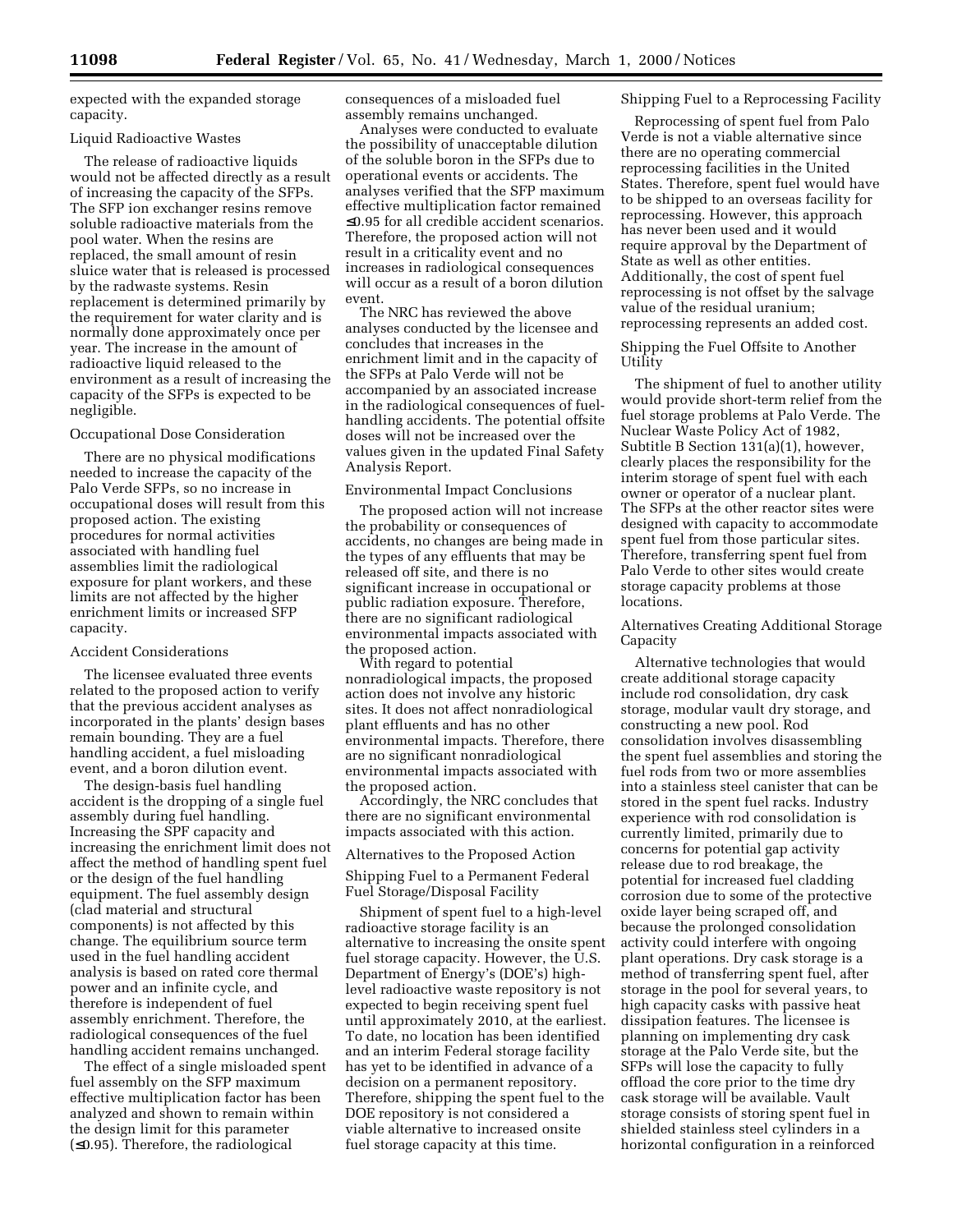expected with the expanded storage capacity.

#### Liquid Radioactive Wastes

The release of radioactive liquids would not be affected directly as a result of increasing the capacity of the SFPs. The SFP ion exchanger resins remove soluble radioactive materials from the pool water. When the resins are replaced, the small amount of resin sluice water that is released is processed by the radwaste systems. Resin replacement is determined primarily by the requirement for water clarity and is normally done approximately once per year. The increase in the amount of radioactive liquid released to the environment as a result of increasing the capacity of the SFPs is expected to be negligible.

#### Occupational Dose Consideration

There are no physical modifications needed to increase the capacity of the Palo Verde SFPs, so no increase in occupational doses will result from this proposed action. The existing procedures for normal activities associated with handling fuel assemblies limit the radiological exposure for plant workers, and these limits are not affected by the higher enrichment limits or increased SFP capacity.

## Accident Considerations

The licensee evaluated three events related to the proposed action to verify that the previous accident analyses as incorporated in the plants' design bases remain bounding. They are a fuel handling accident, a fuel misloading event, and a boron dilution event.

The design-basis fuel handling accident is the dropping of a single fuel assembly during fuel handling. Increasing the SPF capacity and increasing the enrichment limit does not affect the method of handling spent fuel or the design of the fuel handling equipment. The fuel assembly design (clad material and structural components) is not affected by this change. The equilibrium source term used in the fuel handling accident analysis is based on rated core thermal power and an infinite cycle, and therefore is independent of fuel assembly enrichment. Therefore, the radiological consequences of the fuel handling accident remains unchanged.

The effect of a single misloaded spent fuel assembly on the SFP maximum effective multiplication factor has been analyzed and shown to remain within the design limit for this parameter (≤0.95). Therefore, the radiological

consequences of a misloaded fuel assembly remains unchanged.

Analyses were conducted to evaluate the possibility of unacceptable dilution of the soluble boron in the SFPs due to operational events or accidents. The analyses verified that the SFP maximum effective multiplication factor remained ≤0.95 for all credible accident scenarios. Therefore, the proposed action will not result in a criticality event and no increases in radiological consequences will occur as a result of a boron dilution event.

The NRC has reviewed the above analyses conducted by the licensee and concludes that increases in the enrichment limit and in the capacity of the SFPs at Palo Verde will not be accompanied by an associated increase in the radiological consequences of fuelhandling accidents. The potential offsite doses will not be increased over the values given in the updated Final Safety Analysis Report.

## Environmental Impact Conclusions

The proposed action will not increase the probability or consequences of accidents, no changes are being made in the types of any effluents that may be released off site, and there is no significant increase in occupational or public radiation exposure. Therefore, there are no significant radiological environmental impacts associated with the proposed action.

With regard to potential nonradiological impacts, the proposed action does not involve any historic sites. It does not affect nonradiological plant effluents and has no other environmental impacts. Therefore, there are no significant nonradiological environmental impacts associated with the proposed action.

Accordingly, the NRC concludes that there are no significant environmental impacts associated with this action.

# Alternatives to the Proposed Action

Shipping Fuel to a Permanent Federal Fuel Storage/Disposal Facility

Shipment of spent fuel to a high-level radioactive storage facility is an alternative to increasing the onsite spent fuel storage capacity. However, the U.S. Department of Energy's (DOE's) highlevel radioactive waste repository is not expected to begin receiving spent fuel until approximately 2010, at the earliest. To date, no location has been identified and an interim Federal storage facility has yet to be identified in advance of a decision on a permanent repository. Therefore, shipping the spent fuel to the DOE repository is not considered a viable alternative to increased onsite fuel storage capacity at this time.

## Shipping Fuel to a Reprocessing Facility

Reprocessing of spent fuel from Palo Verde is not a viable alternative since there are no operating commercial reprocessing facilities in the United States. Therefore, spent fuel would have to be shipped to an overseas facility for reprocessing. However, this approach has never been used and it would require approval by the Department of State as well as other entities. Additionally, the cost of spent fuel reprocessing is not offset by the salvage value of the residual uranium; reprocessing represents an added cost.

Shipping the Fuel Offsite to Another Utility

The shipment of fuel to another utility would provide short-term relief from the fuel storage problems at Palo Verde. The Nuclear Waste Policy Act of 1982, Subtitle B Section 131(a)(1), however, clearly places the responsibility for the interim storage of spent fuel with each owner or operator of a nuclear plant. The SFPs at the other reactor sites were designed with capacity to accommodate spent fuel from those particular sites. Therefore, transferring spent fuel from Palo Verde to other sites would create storage capacity problems at those locations.

## Alternatives Creating Additional Storage **Capacity**

Alternative technologies that would create additional storage capacity include rod consolidation, dry cask storage, modular vault dry storage, and constructing a new pool. Rod consolidation involves disassembling the spent fuel assemblies and storing the fuel rods from two or more assemblies into a stainless steel canister that can be stored in the spent fuel racks. Industry experience with rod consolidation is currently limited, primarily due to concerns for potential gap activity release due to rod breakage, the potential for increased fuel cladding corrosion due to some of the protective oxide layer being scraped off, and because the prolonged consolidation activity could interfere with ongoing plant operations. Dry cask storage is a method of transferring spent fuel, after storage in the pool for several years, to high capacity casks with passive heat dissipation features. The licensee is planning on implementing dry cask storage at the Palo Verde site, but the SFPs will lose the capacity to fully offload the core prior to the time dry cask storage will be available. Vault storage consists of storing spent fuel in shielded stainless steel cylinders in a horizontal configuration in a reinforced